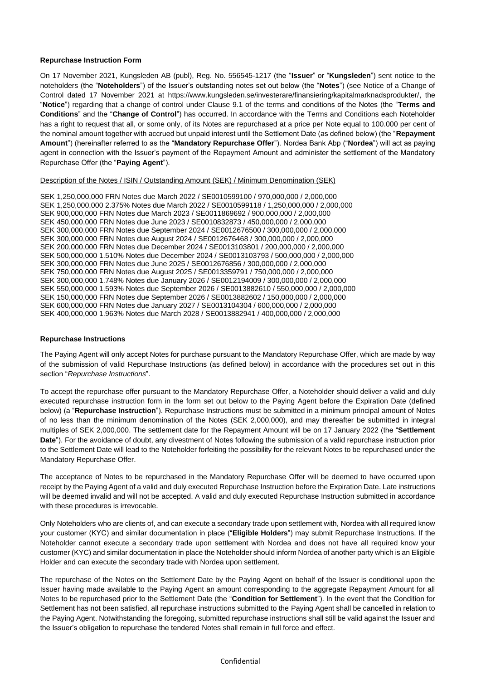## **Repurchase Instruction Form**

On 17 November 2021, Kungsleden AB (publ), Reg. No. 556545-1217 (the "**Issuer**" or "**Kungsleden**") sent notice to the noteholders (the "**Noteholders**") of the Issuer's outstanding notes set out below (the "**Notes**") (see Notice of a Change of Control dated 17 November 2021 at https://www.kungsleden.se/investerare/finansiering/kapitalmarknadsprodukter/, the "**Notice**") regarding that a change of control under Clause 9.1 of the terms and conditions of the Notes (the "**Terms and Conditions**" and the "**Change of Control**") has occurred. In accordance with the Terms and Conditions each Noteholder has a right to request that all, or some only, of its Notes are repurchased at a price per Note equal to 100.000 per cent of the nominal amount together with accrued but unpaid interest until the Settlement Date (as defined below) (the "**Repayment Amount**") (hereinafter referred to as the "**Mandatory Repurchase Offer**"). Nordea Bank Abp ("**Nordea**") will act as paying agent in connection with the Issuer's payment of the Repayment Amount and administer the settlement of the Mandatory Repurchase Offer (the "**Paying Agent**").

## Description of the Notes / ISIN / Outstanding Amount (SEK) / Minimum Denomination (SEK)

SEK 1,250,000,000 FRN Notes due March 2022 / SE0010599100 / 970,000,000 / 2,000,000 SEK 1,250,000,000 2.375% Notes due March 2022 / SE0010599118 / 1,250,000,000 / 2,000,000 SEK 900,000,000 FRN Notes due March 2023 / SE0011869692 / 900,000,000 / 2,000,000 SEK 450,000,000 FRN Notes due June 2023 / SE0010832873 / 450,000,000 / 2,000,000 SEK 300,000,000 FRN Notes due September 2024 / SE0012676500 / 300,000,000 / 2,000,000 SEK 300,000,000 FRN Notes due August 2024 / SE0012676468 / 300,000,000 / 2,000,000 SEK 200,000,000 FRN Notes due December 2024 / SE0013103801 / 200,000,000 / 2,000,000 SEK 500,000,000 1.510% Notes due December 2024 / SE0013103793 / 500,000,000 / 2,000,000 SEK 300,000,000 FRN Notes due June 2025 / SE0012676856 / 300,000,000 / 2,000,000 SEK 750,000,000 FRN Notes due August 2025 / SE0013359791 / 750,000,000 / 2,000,000 SEK 300,000,000 1.748% Notes due January 2026 / SE0012194009 / 300,000,000 / 2,000,000 SEK 550,000,000 1.593% Notes due September 2026 / SE0013882610 / 550,000,000 / 2,000,000 SEK 150,000,000 FRN Notes due September 2026 / SE0013882602 / 150,000,000 / 2,000,000 SEK 600,000,000 FRN Notes due January 2027 / SE0013104304 / 600,000,000 / 2,000,000 SEK 400,000,000 1.963% Notes due March 2028 / SE0013882941 / 400,000,000 / 2,000,000

## **Repurchase Instructions**

The Paying Agent will only accept Notes for purchase pursuant to the Mandatory Repurchase Offer, which are made by way of the submission of valid Repurchase Instructions (as defined below) in accordance with the procedures set out in this section "*Repurchase Instructions*".

To accept the repurchase offer pursuant to the Mandatory Repurchase Offer, a Noteholder should deliver a valid and duly executed repurchase instruction form in the form set out below to the Paying Agent before the Expiration Date (defined below) (a "**Repurchase Instruction**"). Repurchase Instructions must be submitted in a minimum principal amount of Notes of no less than the minimum denomination of the Notes (SEK 2,000,000), and may thereafter be submitted in integral multiples of SEK 2,000,000. The settlement date for the Repayment Amount will be on 17 January 2022 (the "**Settlement Date**"). For the avoidance of doubt, any divestment of Notes following the submission of a valid repurchase instruction prior to the Settlement Date will lead to the Noteholder forfeiting the possibility for the relevant Notes to be repurchased under the Mandatory Repurchase Offer.

The acceptance of Notes to be repurchased in the Mandatory Repurchase Offer will be deemed to have occurred upon receipt by the Paying Agent of a valid and duly executed Repurchase Instruction before the Expiration Date. Late instructions will be deemed invalid and will not be accepted. A valid and duly executed Repurchase Instruction submitted in accordance with these procedures is irrevocable.

Only Noteholders who are clients of, and can execute a secondary trade upon settlement with, Nordea with all required know your customer (KYC) and similar documentation in place ("**Eligible Holders**") may submit Repurchase Instructions. If the Noteholder cannot execute a secondary trade upon settlement with Nordea and does not have all required know your customer (KYC) and similar documentation in place the Noteholder should inform Nordea of another party which is an Eligible Holder and can execute the secondary trade with Nordea upon settlement.

The repurchase of the Notes on the Settlement Date by the Paying Agent on behalf of the Issuer is conditional upon the Issuer having made available to the Paying Agent an amount corresponding to the aggregate Repayment Amount for all Notes to be repurchased prior to the Settlement Date (the "**Condition for Settlement**"). In the event that the Condition for Settlement has not been satisfied, all repurchase instructions submitted to the Paying Agent shall be cancelled in relation to the Paying Agent. Notwithstanding the foregoing, submitted repurchase instructions shall still be valid against the Issuer and the Issuer's obligation to repurchase the tendered Notes shall remain in full force and effect.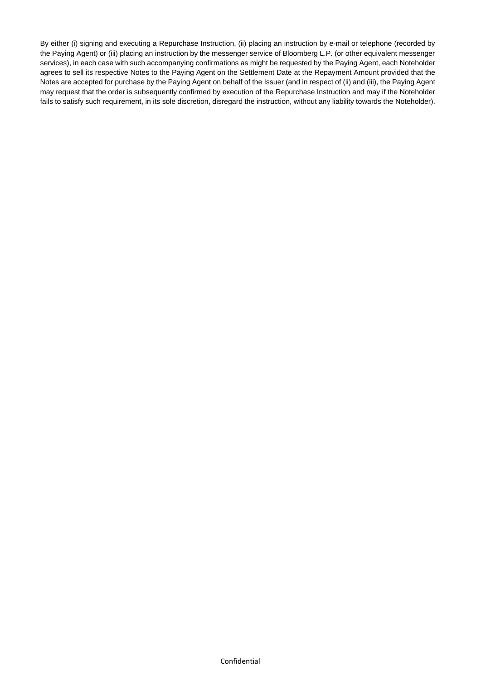By either (i) signing and executing a Repurchase Instruction, (ii) placing an instruction by e-mail or telephone (recorded by the Paying Agent) or (iii) placing an instruction by the messenger service of Bloomberg L.P. (or other equivalent messenger services), in each case with such accompanying confirmations as might be requested by the Paying Agent, each Noteholder agrees to sell its respective Notes to the Paying Agent on the Settlement Date at the Repayment Amount provided that the Notes are accepted for purchase by the Paying Agent on behalf of the Issuer (and in respect of (ii) and (iii), the Paying Agent may request that the order is subsequently confirmed by execution of the Repurchase Instruction and may if the Noteholder fails to satisfy such requirement, in its sole discretion, disregard the instruction, without any liability towards the Noteholder).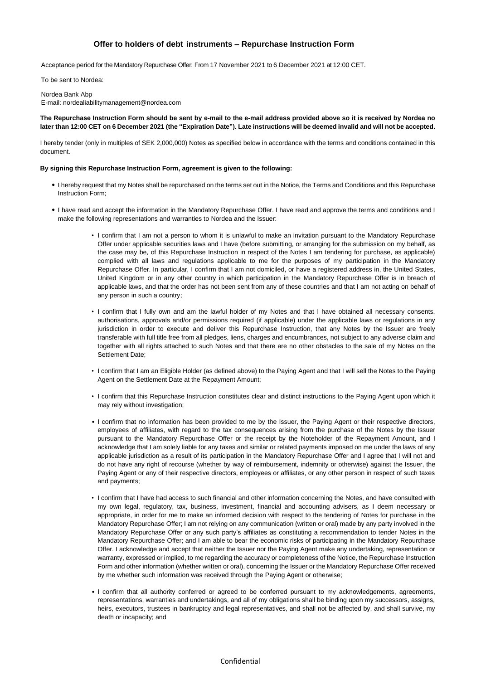## **Offer to holders of debt instruments – Repurchase Instruction Form**

Acceptance period for the Mandatory Repurchase Offer: From 17 November 2021 to 6 December 2021 at 12:00 CET.

To be sent to Nordea:

Nordea Bank Abp E-mail: nordealiabilitymanagement@nordea.com

**The Repurchase Instruction Form should be sent by e-mail to the e-mail address provided above so it is received by Nordea no later than 12:00 CET on 6 December 2021 (the "Expiration Date"). Late instructions will be deemed invalid and will not be accepted.**

I hereby tender (only in multiples of SEK 2,000,000) Notes as specified below in accordance with the terms and conditions contained in this document.

#### **By signing this Repurchase Instruction Form, agreement is given to the following:**

- ⚫ I hereby request that my Notes shall be repurchased on the terms set out in the Notice, the Terms and Conditions and this Repurchase Instruction Form;
- ⚫ I have read and accept the information in the Mandatory Repurchase Offer. I have read and approve the terms and conditions and I make the following representations and warranties to Nordea and the Issuer:
	- I confirm that I am not a person to whom it is unlawful to make an invitation pursuant to the Mandatory Repurchase Offer under applicable securities laws and I have (before submitting, or arranging for the submission on my behalf, as the case may be, of this Repurchase Instruction in respect of the Notes I am tendering for purchase, as applicable) complied with all laws and regulations applicable to me for the purposes of my participation in the Mandatory Repurchase Offer. In particular, I confirm that I am not domiciled, or have a registered address in, the United States, United Kingdom or in any other country in which participation in the Mandatory Repurchase Offer is in breach of applicable laws, and that the order has not been sent from any of these countries and that I am not acting on behalf of any person in such a country;
	- I confirm that I fully own and am the lawful holder of my Notes and that I have obtained all necessary consents, authorisations, approvals and/or permissions required (if applicable) under the applicable laws or regulations in any jurisdiction in order to execute and deliver this Repurchase Instruction, that any Notes by the Issuer are freely transferable with full title free from all pledges, liens, charges and encumbrances, not subject to any adverse claim and together with all rights attached to such Notes and that there are no other obstacles to the sale of my Notes on the Settlement Date;
	- I confirm that I am an Eligible Holder (as defined above) to the Paying Agent and that I will sell the Notes to the Paying Agent on the Settlement Date at the Repayment Amount;
	- I confirm that this Repurchase Instruction constitutes clear and distinct instructions to the Paying Agent upon which it may rely without investigation;
	- I confirm that no information has been provided to me by the Issuer, the Paying Agent or their respective directors, employees of affiliates, with regard to the tax consequences arising from the purchase of the Notes by the Issuer pursuant to the Mandatory Repurchase Offer or the receipt by the Noteholder of the Repayment Amount, and I acknowledge that I am solely liable for any taxes and similar or related payments imposed on me under the laws of any applicable jurisdiction as a result of its participation in the Mandatory Repurchase Offer and I agree that I will not and do not have any right of recourse (whether by way of reimbursement, indemnity or otherwise) against the Issuer, the Paying Agent or any of their respective directors, employees or affiliates, or any other person in respect of such taxes and payments;
	- I confirm that I have had access to such financial and other information concerning the Notes, and have consulted with my own legal, regulatory, tax, business, investment, financial and accounting advisers, as I deem necessary or appropriate, in order for me to make an informed decision with respect to the tendering of Notes for purchase in the Mandatory Repurchase Offer; I am not relying on any communication (written or oral) made by any party involved in the Mandatory Repurchase Offer or any such party's affiliates as constituting a recommendation to tender Notes in the Mandatory Repurchase Offer; and I am able to bear the economic risks of participating in the Mandatory Repurchase Offer. I acknowledge and accept that neither the Issuer nor the Paying Agent make any undertaking, representation or warranty, expressed or implied, to me regarding the accuracy or completeness of the Notice, the Repurchase Instruction Form and other information (whether written or oral), concerning the Issuer or the Mandatory Repurchase Offer received by me whether such information was received through the Paying Agent or otherwise;
	- I confirm that all authority conferred or agreed to be conferred pursuant to my acknowledgements, agreements, representations, warranties and undertakings, and all of my obligations shall be binding upon my successors, assigns, heirs, executors, trustees in bankruptcy and legal representatives, and shall not be affected by, and shall survive, my death or incapacity; and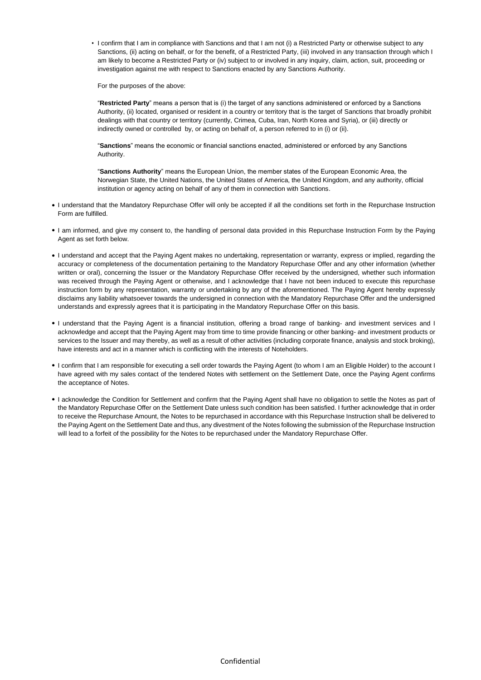• I confirm that I am in compliance with Sanctions and that I am not (i) a Restricted Party or otherwise subject to any Sanctions, (ii) acting on behalf, or for the benefit, of a Restricted Party, (iii) involved in any transaction through which I am likely to become a Restricted Party or (iv) subject to or involved in any inquiry, claim, action, suit, proceeding or investigation against me with respect to Sanctions enacted by any Sanctions Authority.

For the purposes of the above:

"**Restricted Party**" means a person that is (i) the target of any sanctions administered or enforced by a Sanctions Authority, (ii) located, organised or resident in a country or territory that is the target of Sanctions that broadly prohibit dealings with that country or territory (currently, Crimea, Cuba, Iran, North Korea and Syria), or (iii) directly or indirectly owned or controlled by, or acting on behalf of, a person referred to in (i) or (ii).

"**Sanctions**" means the economic or financial sanctions enacted, administered or enforced by any Sanctions Authority.

"**Sanctions Authority**" means the European Union, the member states of the European Economic Area, the Norwegian State, the United Nations, the United States of America, the United Kingdom, and any authority, official institution or agency acting on behalf of any of them in connection with Sanctions.

- ⚫ I understand that the Mandatory Repurchase Offer will only be accepted if all the conditions set forth in the Repurchase Instruction Form are fulfilled.
- ⚫ I am informed, and give my consent to, the handling of personal data provided in this Repurchase Instruction Form by the Paying Agent as set forth below.
- ⚫ I understand and accept that the Paying Agent makes no undertaking, representation or warranty, express or implied, regarding the accuracy or completeness of the documentation pertaining to the Mandatory Repurchase Offer and any other information (whether written or oral), concerning the Issuer or the Mandatory Repurchase Offer received by the undersigned, whether such information was received through the Paying Agent or otherwise, and I acknowledge that I have not been induced to execute this repurchase instruction form by any representation, warranty or undertaking by any of the aforementioned. The Paying Agent hereby expressly disclaims any liability whatsoever towards the undersigned in connection with the Mandatory Repurchase Offer and the undersigned understands and expressly agrees that it is participating in the Mandatory Repurchase Offer on this basis.
- ⚫ I understand that the Paying Agent is a financial institution, offering a broad range of banking- and investment services and I acknowledge and accept that the Paying Agent may from time to time provide financing or other banking- and investment products or services to the Issuer and may thereby, as well as a result of other activities (including corporate finance, analysis and stock broking), have interests and act in a manner which is conflicting with the interests of Noteholders.
- ⚫ I confirm that I am responsible for executing a sell order towards the Paying Agent (to whom I am an Eligible Holder) to the account I have agreed with my sales contact of the tendered Notes with settlement on the Settlement Date, once the Paying Agent confirms the acceptance of Notes.
- ⚫ I acknowledge the Condition for Settlement and confirm that the Paying Agent shall have no obligation to settle the Notes as part of the Mandatory Repurchase Offer on the Settlement Date unless such condition has been satisfied. I further acknowledge that in order to receive the Repurchase Amount, the Notes to be repurchased in accordance with this Repurchase Instruction shall be delivered to the Paying Agent on the Settlement Date and thus, any divestment of the Notes following the submission of the Repurchase Instruction will lead to a forfeit of the possibility for the Notes to be repurchased under the Mandatory Repurchase Offer.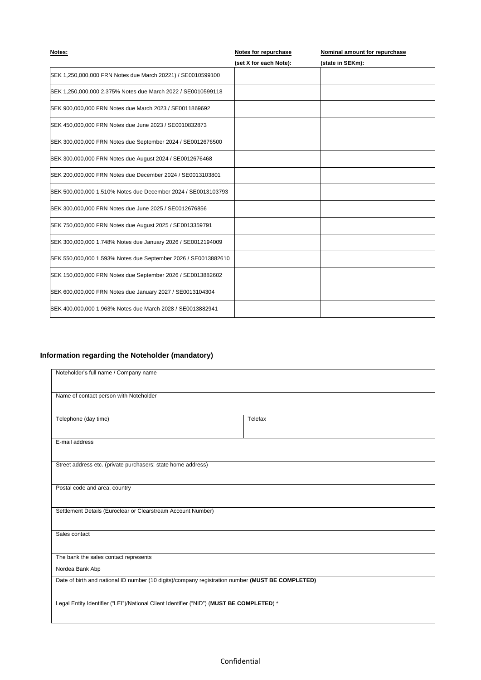| (set X for each Note):<br>(state in SEKm):<br>SEK 1,250,000,000 FRN Notes due March 20221) / SE0010599100<br>SEK 1,250,000,000 2.375% Notes due March 2022 / SE0010599118<br>SEK 900,000,000 FRN Notes due March 2023 / SE0011869692<br>SEK 450,000,000 FRN Notes due June 2023 / SE0010832873<br>SEK 300,000,000 FRN Notes due September 2024 / SE0012676500<br>SEK 300,000,000 FRN Notes due August 2024 / SE0012676468 | Notes: | <b>Notes for repurchase</b> | Nominal amount for repurchase |
|---------------------------------------------------------------------------------------------------------------------------------------------------------------------------------------------------------------------------------------------------------------------------------------------------------------------------------------------------------------------------------------------------------------------------|--------|-----------------------------|-------------------------------|
|                                                                                                                                                                                                                                                                                                                                                                                                                           |        |                             |                               |
|                                                                                                                                                                                                                                                                                                                                                                                                                           |        |                             |                               |
|                                                                                                                                                                                                                                                                                                                                                                                                                           |        |                             |                               |
|                                                                                                                                                                                                                                                                                                                                                                                                                           |        |                             |                               |
|                                                                                                                                                                                                                                                                                                                                                                                                                           |        |                             |                               |
|                                                                                                                                                                                                                                                                                                                                                                                                                           |        |                             |                               |
|                                                                                                                                                                                                                                                                                                                                                                                                                           |        |                             |                               |
| SEK 200,000,000 FRN Notes due December 2024 / SE0013103801                                                                                                                                                                                                                                                                                                                                                                |        |                             |                               |
| SEK 500,000,000 1.510% Notes due December 2024 / SE0013103793                                                                                                                                                                                                                                                                                                                                                             |        |                             |                               |
| SEK 300,000,000 FRN Notes due June 2025 / SE0012676856                                                                                                                                                                                                                                                                                                                                                                    |        |                             |                               |
| SEK 750,000,000 FRN Notes due August 2025 / SE0013359791                                                                                                                                                                                                                                                                                                                                                                  |        |                             |                               |
| SEK 300,000,000 1.748% Notes due January 2026 / SE0012194009                                                                                                                                                                                                                                                                                                                                                              |        |                             |                               |
| SEK 550,000,000 1.593% Notes due September 2026 / SE0013882610                                                                                                                                                                                                                                                                                                                                                            |        |                             |                               |
| SEK 150,000,000 FRN Notes due September 2026 / SE0013882602                                                                                                                                                                                                                                                                                                                                                               |        |                             |                               |
| SEK 600,000,000 FRN Notes due January 2027 / SE0013104304                                                                                                                                                                                                                                                                                                                                                                 |        |                             |                               |
| SEK 400,000,000 1.963% Notes due March 2028 / SE0013882941                                                                                                                                                                                                                                                                                                                                                                |        |                             |                               |

# **Information regarding the Noteholder (mandatory)**

| Noteholder's full name / Company name                                                            |         |  |
|--------------------------------------------------------------------------------------------------|---------|--|
| Name of contact person with Noteholder                                                           |         |  |
| Telephone (day time)                                                                             | Telefax |  |
| E-mail address                                                                                   |         |  |
| Street address etc. (private purchasers: state home address)                                     |         |  |
| Postal code and area, country                                                                    |         |  |
| Settlement Details (Euroclear or Clearstream Account Number)                                     |         |  |
| Sales contact                                                                                    |         |  |
| The bank the sales contact represents                                                            |         |  |
| Nordea Bank Abp                                                                                  |         |  |
| Date of birth and national ID number (10 digits)/company registration number (MUST BE COMPLETED) |         |  |
| Legal Entity Identifier ("LEI")/National Client Identifier ("NID") (MUST BE COMPLETED) *         |         |  |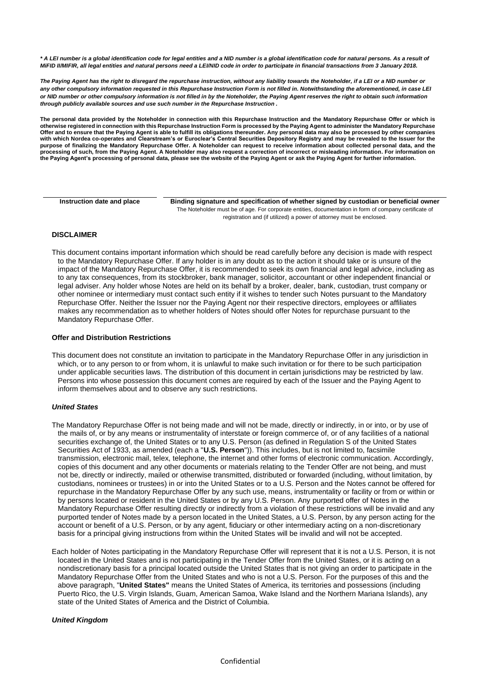*\* A LEI number is a global identification code for legal entities and a NID number is a global identification code for natural persons. As a result of MiFID II/MIFIR, all legal entities and natural persons need a LEI/NID code in order to participate in financial transactions from 3 January 2018.* 

*The Paying Agent has the right to disregard the repurchase instruction, without any liability towards the Noteholder, if a LEI or a NID number or*  any other compulsory information requested in this Repurchase Instruction Form is not filled in. Notwithstanding the aforementioned, in case LEI *or NID number or other compulsory information is not filled in by the Noteholder, the Paying Agent reserves the right to obtain such information through publicly available sources and use such number in the Repurchase Instruction .*

**The personal data provided by the Noteholder in connection with this Repurchase Instruction and the Mandatory Repurchase Offer or which is otherwise registered in connection with this Repurchase Instruction Form is processed by the Paying Agent to administer the Mandatory Repurchase Offer and to ensure that the Paying Agent is able to fulfill its obligations thereunder. Any personal data may also be processed by other companies with which Nordea co-operates and Clearstream's or Euroclear's Central Securities Depository Registry and may be revealed to the Issuer for the purpose of finalizing the Mandatory Repurchase Offer. A Noteholder can request to receive information about collected personal data, and the processing of such, from the Paying Agent. A Noteholder may also request a correction of incorrect or misleading information. For information on the Paying Agent's processing of personal data, please see the website of the Paying Agent or ask the Paying Agent for further information.**

| Instruction date and place | Binding signature and specification of whether signed by custodian or beneficial owner                 |
|----------------------------|--------------------------------------------------------------------------------------------------------|
|                            | The Noteholder must be of age. For corporate entities, documentation in form of company certificate of |
|                            | registration and (if utilized) a power of attorney must be enclosed.                                   |

## **DISCLAIMER**

This document contains important information which should be read carefully before any decision is made with respect to the Mandatory Repurchase Offer. If any holder is in any doubt as to the action it should take or is unsure of the impact of the Mandatory Repurchase Offer, it is recommended to seek its own financial and legal advice, including as to any tax consequences, from its stockbroker, bank manager, solicitor, accountant or other independent financial or legal adviser. Any holder whose Notes are held on its behalf by a broker, dealer, bank, custodian, trust company or other nominee or intermediary must contact such entity if it wishes to tender such Notes pursuant to the Mandatory Repurchase Offer. Neither the Issuer nor the Paying Agent nor their respective directors, employees or affiliates makes any recommendation as to whether holders of Notes should offer Notes for repurchase pursuant to the Mandatory Repurchase Offer.

#### **Offer and Distribution Restrictions**

This document does not constitute an invitation to participate in the Mandatory Repurchase Offer in any jurisdiction in which, or to any person to or from whom, it is unlawful to make such invitation or for there to be such participation under applicable securities laws. The distribution of this document in certain jurisdictions may be restricted by law. Persons into whose possession this document comes are required by each of the Issuer and the Paying Agent to inform themselves about and to observe any such restrictions.

#### *United States*

- The Mandatory Repurchase Offer is not being made and will not be made, directly or indirectly, in or into, or by use of the mails of, or by any means or instrumentality of interstate or foreign commerce of, or of any facilities of a national securities exchange of, the United States or to any U.S. Person (as defined in Regulation S of the United States Securities Act of 1933, as amended (each a "**U.S. Person**")). This includes, but is not limited to, facsimile transmission, electronic mail, telex, telephone, the internet and other forms of electronic communication. Accordingly, copies of this document and any other documents or materials relating to the Tender Offer are not being, and must not be, directly or indirectly, mailed or otherwise transmitted, distributed or forwarded (including, without limitation, by custodians, nominees or trustees) in or into the United States or to a U.S. Person and the Notes cannot be offered for repurchase in the Mandatory Repurchase Offer by any such use, means, instrumentality or facility or from or within or by persons located or resident in the United States or by any U.S. Person. Any purported offer of Notes in the Mandatory Repurchase Offer resulting directly or indirectly from a violation of these restrictions will be invalid and any purported tender of Notes made by a person located in the United States, a U.S. Person, by any person acting for the account or benefit of a U.S. Person, or by any agent, fiduciary or other intermediary acting on a non-discretionary basis for a principal giving instructions from within the United States will be invalid and will not be accepted.
- Each holder of Notes participating in the Mandatory Repurchase Offer will represent that it is not a U.S. Person, it is not located in the United States and is not participating in the Tender Offer from the United States, or it is acting on a nondiscretionary basis for a principal located outside the United States that is not giving an order to participate in the Mandatory Repurchase Offer from the United States and who is not a U.S. Person. For the purposes of this and the above paragraph, "**United States"** means the United States of America, its territories and possessions (including Puerto Rico, the U.S. Virgin Islands, Guam, American Samoa, Wake Island and the Northern Mariana Islands), any state of the United States of America and the District of Columbia.

#### *United Kingdom*